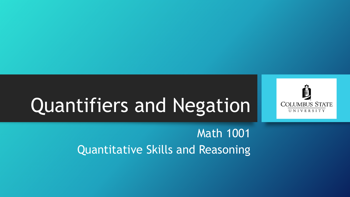

#### Math 1001 Quantitative Skills and Reasoning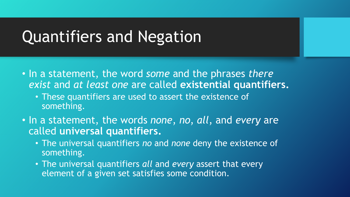- In a statement, the word *some* and the phrases *there exist* and *at least one* are called **existential quantifiers.**
	- These quantifiers are used to assert the existence of something.
- In a statement, the words *none*, *no*, *all*, and *every* are called **universal quantifiers.** 
	- The universal quantifiers *no* and *none* deny the existence of something.
	- The universal quantifiers *all* and *every* assert that every element of a given set satisfies some condition.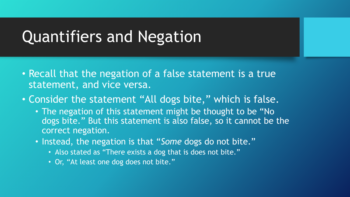- Recall that the negation of a false statement is a true statement, and vice versa.
- Consider the statement "All dogs bite," which is false.
	- The negation of this statement might be thought to be "No dogs bite." But this statement is also false, so it cannot be the correct negation.
	- Instead, the negation is that "*Some* dogs do not bite."
		- Also stated as "There exists a dog that is does not bite."
		- Or, "At least one dog does not bite."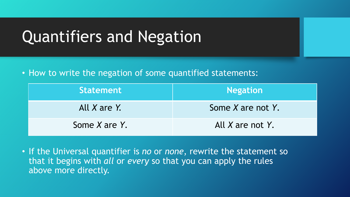• How to write the negation of some quantified statements:

| <b>Statement</b>   | <b>Negation</b>        |
|--------------------|------------------------|
| All X are Y.       | Some $X$ are not $Y$ . |
| Some $X$ are $Y$ . | All X are not Y.       |

• If the Universal quantifier is *no* or *none*, rewrite the statement so that it begins with *all* or *every* so that you can apply the rules above more directly.